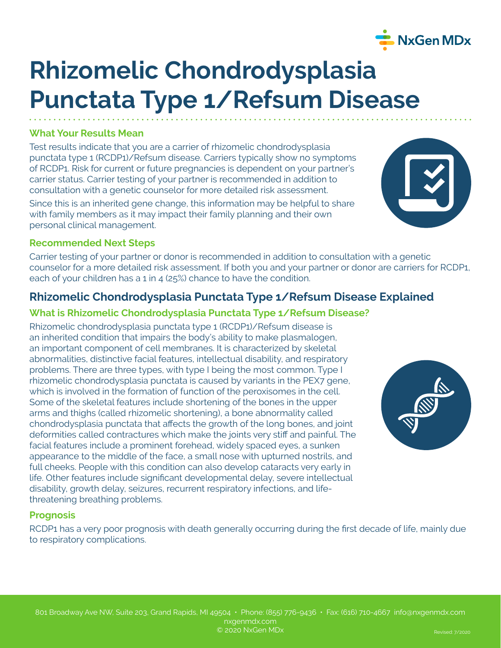# **Rhizomelic Chondrodysplasia Punctata Type 1/Refsum Disease**

## **What Your Results Mean**

Test results indicate that you are a carrier of rhizomelic chondrodysplasia punctata type 1 (RCDP1)/Refsum disease. Carriers typically show no symptoms of RCDP1. Risk for current or future pregnancies is dependent on your partner's carrier status. Carrier testing of your partner is recommended in addition to consultation with a genetic counselor for more detailed risk assessment.

Since this is an inherited gene change, this information may be helpful to share with family members as it may impact their family planning and their own personal clinical management.

# **Recommended Next Steps**

Carrier testing of your partner or donor is recommended in addition to consultation with a genetic counselor for a more detailed risk assessment. If both you and your partner or donor are carriers for RCDP1, each of your children has a 1 in 4 (25%) chance to have the condition.

# **Rhizomelic Chondrodysplasia Punctata Type 1/Refsum Disease Explained**

## **What is Rhizomelic Chondrodysplasia Punctata Type 1/Refsum Disease?**

Rhizomelic chondrodysplasia punctata type 1 (RCDP1)/Refsum disease is an inherited condition that impairs the body's ability to make plasmalogen, an important component of cell membranes. It is characterized by skeletal abnormalities, distinctive facial features, intellectual disability, and respiratory problems. There are three types, with type I being the most common. Type I rhizomelic chondrodysplasia punctata is caused by variants in the PEX7 gene, which is involved in the formation of function of the peroxisomes in the cell. Some of the skeletal features include shortening of the bones in the upper arms and thighs (called rhizomelic shortening), a bone abnormality called chondrodysplasia punctata that affects the growth of the long bones, and joint deformities called contractures which make the joints very stiff and painful. The facial features include a prominent forehead, widely spaced eyes, a sunken appearance to the middle of the face, a small nose with upturned nostrils, and full cheeks. People with this condition can also develop cataracts very early in life. Other features include significant developmental delay, severe intellectual disability, growth delay, seizures, recurrent respiratory infections, and lifethreatening breathing problems.

### **Prognosis**

RCDP1 has a very poor prognosis with death generally occurring during the first decade of life, mainly due to respiratory complications.